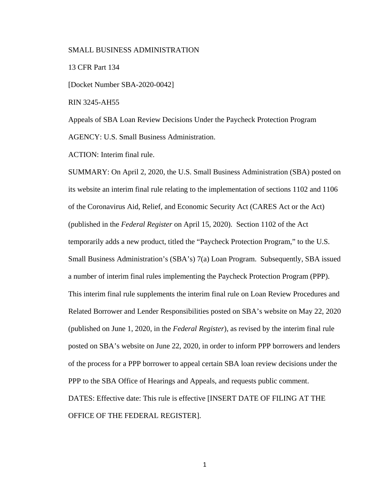# SMALL BUSINESS ADMINISTRATION

13 CFR Part 134

[Docket Number SBA-2020-0042]

RIN 3245-AH55

Appeals of SBA Loan Review Decisions Under the Paycheck Protection Program AGENCY: U.S. Small Business Administration.

ACTION: Interim final rule.

SUMMARY: On April 2, 2020, the U.S. Small Business Administration (SBA) posted on its website an interim final rule relating to the implementation of sections 1102 and 1106 of the Coronavirus Aid, Relief, and Economic Security Act (CARES Act or the Act) (published in the *Federal Register* on April 15, 2020). Section 1102 of the Act temporarily adds a new product, titled the "Paycheck Protection Program," to the U.S. Small Business Administration's (SBA's) 7(a) Loan Program. Subsequently, SBA issued a number of interim final rules implementing the Paycheck Protection Program (PPP). This interim final rule supplements the interim final rule on Loan Review Procedures and Related Borrower and Lender Responsibilities posted on SBA's website on May 22, 2020 (published on June 1, 2020, in the *Federal Register*), as revised by the interim final rule posted on SBA's website on June 22, 2020, in order to inform PPP borrowers and lenders of the process for a PPP borrower to appeal certain SBA loan review decisions under the PPP to the SBA Office of Hearings and Appeals, and requests public comment. DATES: Effective date: This rule is effective [INSERT DATE OF FILING AT THE OFFICE OF THE FEDERAL REGISTER].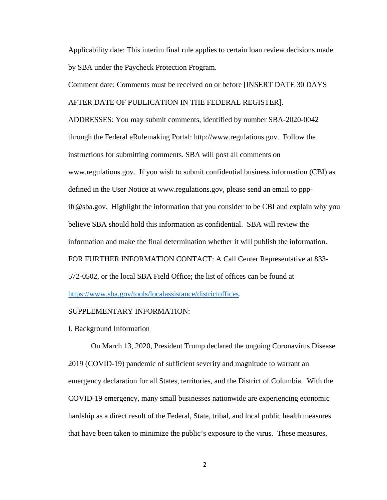Applicability date: This interim final rule applies to certain loan review decisions made by SBA under the Paycheck Protection Program.

Comment date: Comments must be received on or before [INSERT DATE 30 DAYS AFTER DATE OF PUBLICATION IN THE FEDERAL REGISTER].

ADDRESSES: You may submit comments, identified by number SBA-2020-0042 through the Federal eRulemaking Portal: http://www.regulations.gov. Follow the instructions for submitting comments. SBA will post all comments on www.regulations.gov. If you wish to submit confidential business information (CBI) as defined in the User Notice at www.regulations.gov, please send an email to pppifr@sba.gov. Highlight the information that you consider to be CBI and explain why you believe SBA should hold this information as confidential. SBA will review the information and make the final determination whether it will publish the information. FOR FURTHER INFORMATION CONTACT: A Call Center Representative at 833- 572-0502, or the local SBA Field Office; the list of offices can be found at https://www.sba.gov/tools/localassistance/districtoffices.

# SUPPLEMENTARY INFORMATION:

### I. Background Information

On March 13, 2020, President Trump declared the ongoing Coronavirus Disease 2019 (COVID-19) pandemic of sufficient severity and magnitude to warrant an emergency declaration for all States, territories, and the District of Columbia. With the COVID-19 emergency, many small businesses nationwide are experiencing economic hardship as a direct result of the Federal, State, tribal, and local public health measures that have been taken to minimize the public's exposure to the virus. These measures,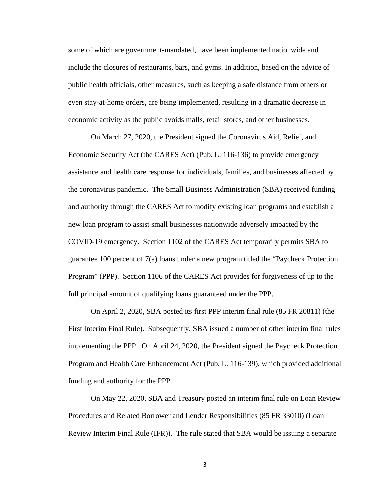some of which are government-mandated, have been implemented nationwide and include the closures of restaurants, bars, and gyms. In addition, based on the advice of public health officials, other measures, such as keeping a safe distance from others or even stay-at-home orders, are being implemented, resulting in a dramatic decrease in economic activity as the public avoids malls, retail stores, and other businesses.

On March 27, 2020, the President signed the Coronavirus Aid, Relief, and Economic Security Act (the CARES Act) (Pub. L. 116-136) to provide emergency assistance and health care response for individuals, families, and businesses affected by the coronavirus pandemic. The Small Business Administration (SBA) received funding and authority through the CARES Act to modify existing loan programs and establish a new loan program to assist small businesses nationwide adversely impacted by the COVID-19 emergency. Section 1102 of the CARES Act temporarily permits SBA to guarantee 100 percent of 7(a) loans under a new program titled the "Paycheck Protection Program" (PPP). Section 1106 of the CARES Act provides for forgiveness of up to the full principal amount of qualifying loans guaranteed under the PPP.

On April 2, 2020, SBA posted its first PPP interim final rule (85 FR 20811) (the First Interim Final Rule). Subsequently, SBA issued a number of other interim final rules implementing the PPP. On April 24, 2020, the President signed the Paycheck Protection Program and Health Care Enhancement Act (Pub. L. 116-139), which provided additional funding and authority for the PPP.

On May 22, 2020, SBA and Treasury posted an interim final rule on Loan Review Procedures and Related Borrower and Lender Responsibilities (85 FR 33010) (Loan Review Interim Final Rule (IFR)). The rule stated that SBA would be issuing a separate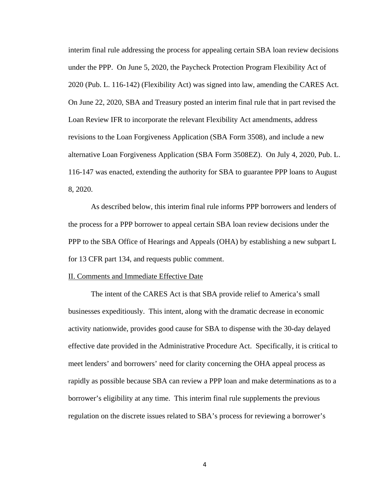interim final rule addressing the process for appealing certain SBA loan review decisions under the PPP. On June 5, 2020, the Paycheck Protection Program Flexibility Act of 2020 (Pub. L. 116-142) (Flexibility Act) was signed into law, amending the CARES Act. On June 22, 2020, SBA and Treasury posted an interim final rule that in part revised the Loan Review IFR to incorporate the relevant Flexibility Act amendments, address revisions to the Loan Forgiveness Application (SBA Form 3508), and include a new alternative Loan Forgiveness Application (SBA Form 3508EZ). On July 4, 2020, Pub. L. 116-147 was enacted, extending the authority for SBA to guarantee PPP loans to August 8, 2020.

As described below, this interim final rule informs PPP borrowers and lenders of the process for a PPP borrower to appeal certain SBA loan review decisions under the PPP to the SBA Office of Hearings and Appeals (OHA) by establishing a new subpart L for 13 CFR part 134, and requests public comment.

### II. Comments and Immediate Effective Date

The intent of the CARES Act is that SBA provide relief to America's small businesses expeditiously. This intent, along with the dramatic decrease in economic activity nationwide, provides good cause for SBA to dispense with the 30-day delayed effective date provided in the Administrative Procedure Act. Specifically, it is critical to meet lenders' and borrowers' need for clarity concerning the OHA appeal process as rapidly as possible because SBA can review a PPP loan and make determinations as to a borrower's eligibility at any time. This interim final rule supplements the previous regulation on the discrete issues related to SBA's process for reviewing a borrower's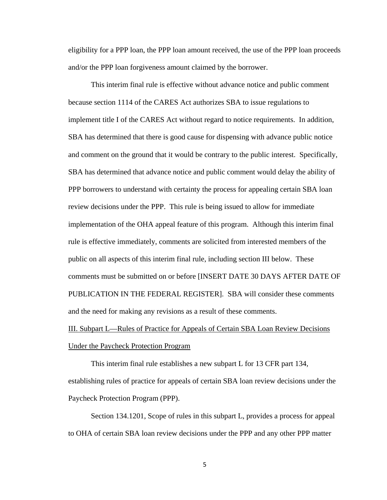eligibility for a PPP loan, the PPP loan amount received, the use of the PPP loan proceeds and/or the PPP loan forgiveness amount claimed by the borrower.

This interim final rule is effective without advance notice and public comment because section 1114 of the CARES Act authorizes SBA to issue regulations to implement title I of the CARES Act without regard to notice requirements. In addition, SBA has determined that there is good cause for dispensing with advance public notice and comment on the ground that it would be contrary to the public interest. Specifically, SBA has determined that advance notice and public comment would delay the ability of PPP borrowers to understand with certainty the process for appealing certain SBA loan review decisions under the PPP. This rule is being issued to allow for immediate implementation of the OHA appeal feature of this program. Although this interim final rule is effective immediately, comments are solicited from interested members of the public on all aspects of this interim final rule, including section III below. These comments must be submitted on or before [INSERT DATE 30 DAYS AFTER DATE OF PUBLICATION IN THE FEDERAL REGISTER]. SBA will consider these comments and the need for making any revisions as a result of these comments.

III. Subpart L—Rules of Practice for Appeals of Certain SBA Loan Review Decisions Under the Paycheck Protection Program

This interim final rule establishes a new subpart L for 13 CFR part 134, establishing rules of practice for appeals of certain SBA loan review decisions under the Paycheck Protection Program (PPP).

Section 134.1201, Scope of rules in this subpart L, provides a process for appeal to OHA of certain SBA loan review decisions under the PPP and any other PPP matter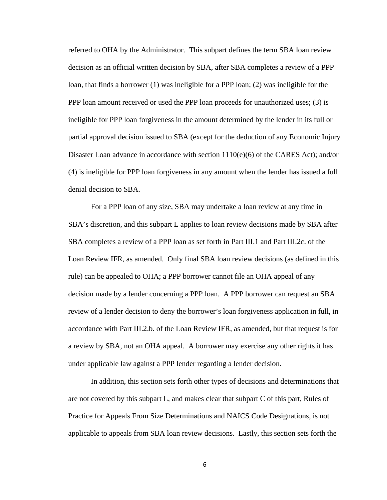referred to OHA by the Administrator. This subpart defines the term SBA loan review decision as an official written decision by SBA, after SBA completes a review of a PPP loan, that finds a borrower (1) was ineligible for a PPP loan; (2) was ineligible for the PPP loan amount received or used the PPP loan proceeds for unauthorized uses; (3) is ineligible for PPP loan forgiveness in the amount determined by the lender in its full or partial approval decision issued to SBA (except for the deduction of any Economic Injury Disaster Loan advance in accordance with section  $1110(e)(6)$  of the CARES Act); and/or (4) is ineligible for PPP loan forgiveness in any amount when the lender has issued a full denial decision to SBA.

For a PPP loan of any size, SBA may undertake a loan review at any time in SBA's discretion, and this subpart L applies to loan review decisions made by SBA after SBA completes a review of a PPP loan as set forth in Part III.1 and Part III.2c. of the Loan Review IFR, as amended. Only final SBA loan review decisions (as defined in this rule) can be appealed to OHA; a PPP borrower cannot file an OHA appeal of any decision made by a lender concerning a PPP loan. A PPP borrower can request an SBA review of a lender decision to deny the borrower's loan forgiveness application in full, in accordance with Part III.2.b. of the Loan Review IFR, as amended, but that request is for a review by SBA, not an OHA appeal. A borrower may exercise any other rights it has under applicable law against a PPP lender regarding a lender decision.

In addition, this section sets forth other types of decisions and determinations that are not covered by this subpart L, and makes clear that subpart C of this part, Rules of Practice for Appeals From Size Determinations and NAICS Code Designations, is not applicable to appeals from SBA loan review decisions. Lastly, this section sets forth the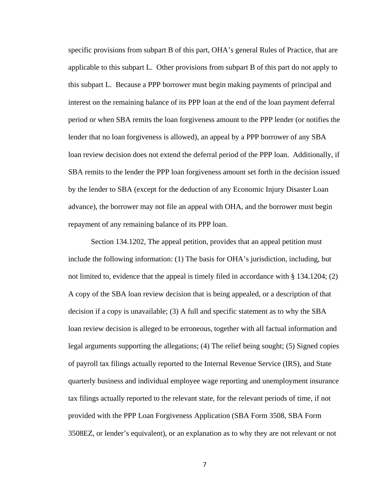specific provisions from subpart B of this part, OHA's general Rules of Practice, that are applicable to this subpart L. Other provisions from subpart B of this part do not apply to this subpart L. Because a PPP borrower must begin making payments of principal and interest on the remaining balance of its PPP loan at the end of the loan payment deferral period or when SBA remits the loan forgiveness amount to the PPP lender (or notifies the lender that no loan forgiveness is allowed), an appeal by a PPP borrower of any SBA loan review decision does not extend the deferral period of the PPP loan. Additionally, if SBA remits to the lender the PPP loan forgiveness amount set forth in the decision issued by the lender to SBA (except for the deduction of any Economic Injury Disaster Loan advance), the borrower may not file an appeal with OHA, and the borrower must begin repayment of any remaining balance of its PPP loan.

Section 134.1202, The appeal petition, provides that an appeal petition must include the following information: (1) The basis for OHA's jurisdiction, including, but not limited to, evidence that the appeal is timely filed in accordance with § 134.1204; (2) A copy of the SBA loan review decision that is being appealed, or a description of that decision if a copy is unavailable; (3) A full and specific statement as to why the SBA loan review decision is alleged to be erroneous, together with all factual information and legal arguments supporting the allegations; (4) The relief being sought; (5) Signed copies of payroll tax filings actually reported to the Internal Revenue Service (IRS), and State quarterly business and individual employee wage reporting and unemployment insurance tax filings actually reported to the relevant state, for the relevant periods of time, if not provided with the PPP Loan Forgiveness Application (SBA Form 3508, SBA Form 3508EZ, or lender's equivalent), or an explanation as to why they are not relevant or not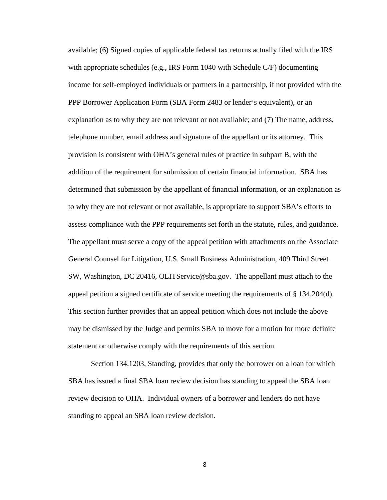available; (6) Signed copies of applicable federal tax returns actually filed with the IRS with appropriate schedules (e.g., IRS Form 1040 with Schedule C/F) documenting income for self-employed individuals or partners in a partnership, if not provided with the PPP Borrower Application Form (SBA Form 2483 or lender's equivalent), or an explanation as to why they are not relevant or not available; and (7) The name, address, telephone number, email address and signature of the appellant or its attorney. This provision is consistent with OHA's general rules of practice in subpart B, with the addition of the requirement for submission of certain financial information. SBA has determined that submission by the appellant of financial information, or an explanation as to why they are not relevant or not available, is appropriate to support SBA's efforts to assess compliance with the PPP requirements set forth in the statute, rules, and guidance. The appellant must serve a copy of the appeal petition with attachments on the Associate General Counsel for Litigation, U.S. Small Business Administration, 409 Third Street SW, Washington, DC 20416, OLITService@sba.gov. The appellant must attach to the appeal petition a signed certificate of service meeting the requirements of  $\S$  134.204(d). This section further provides that an appeal petition which does not include the above may be dismissed by the Judge and permits SBA to move for a motion for more definite statement or otherwise comply with the requirements of this section.

Section 134.1203, Standing, provides that only the borrower on a loan for which SBA has issued a final SBA loan review decision has standing to appeal the SBA loan review decision to OHA. Individual owners of a borrower and lenders do not have standing to appeal an SBA loan review decision.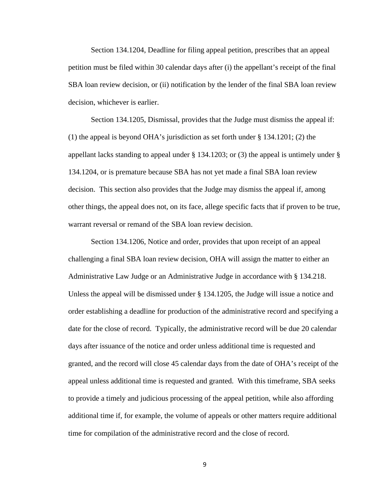Section 134.1204, Deadline for filing appeal petition, prescribes that an appeal petition must be filed within 30 calendar days after (i) the appellant's receipt of the final SBA loan review decision, or (ii) notification by the lender of the final SBA loan review decision, whichever is earlier.

Section 134.1205, Dismissal, provides that the Judge must dismiss the appeal if: (1) the appeal is beyond OHA's jurisdiction as set forth under § 134.1201; (2) the appellant lacks standing to appeal under § 134.1203; or (3) the appeal is untimely under § 134.1204, or is premature because SBA has not yet made a final SBA loan review decision. This section also provides that the Judge may dismiss the appeal if, among other things, the appeal does not, on its face, allege specific facts that if proven to be true, warrant reversal or remand of the SBA loan review decision.

Section 134.1206, Notice and order, provides that upon receipt of an appeal challenging a final SBA loan review decision, OHA will assign the matter to either an Administrative Law Judge or an Administrative Judge in accordance with § 134.218. Unless the appeal will be dismissed under § 134.1205, the Judge will issue a notice and order establishing a deadline for production of the administrative record and specifying a date for the close of record. Typically, the administrative record will be due 20 calendar days after issuance of the notice and order unless additional time is requested and granted, and the record will close 45 calendar days from the date of OHA's receipt of the appeal unless additional time is requested and granted. With this timeframe, SBA seeks to provide a timely and judicious processing of the appeal petition, while also affording additional time if, for example, the volume of appeals or other matters require additional time for compilation of the administrative record and the close of record.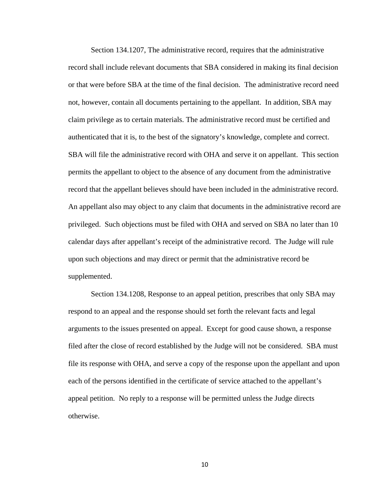Section 134.1207, The administrative record, requires that the administrative record shall include relevant documents that SBA considered in making its final decision or that were before SBA at the time of the final decision. The administrative record need not, however, contain all documents pertaining to the appellant. In addition, SBA may claim privilege as to certain materials. The administrative record must be certified and authenticated that it is, to the best of the signatory's knowledge, complete and correct. SBA will file the administrative record with OHA and serve it on appellant. This section permits the appellant to object to the absence of any document from the administrative record that the appellant believes should have been included in the administrative record. An appellant also may object to any claim that documents in the administrative record are privileged. Such objections must be filed with OHA and served on SBA no later than 10 calendar days after appellant's receipt of the administrative record. The Judge will rule upon such objections and may direct or permit that the administrative record be supplemented.

Section 134.1208, Response to an appeal petition, prescribes that only SBA may respond to an appeal and the response should set forth the relevant facts and legal arguments to the issues presented on appeal. Except for good cause shown, a response filed after the close of record established by the Judge will not be considered. SBA must file its response with OHA, and serve a copy of the response upon the appellant and upon each of the persons identified in the certificate of service attached to the appellant's appeal petition. No reply to a response will be permitted unless the Judge directs otherwise.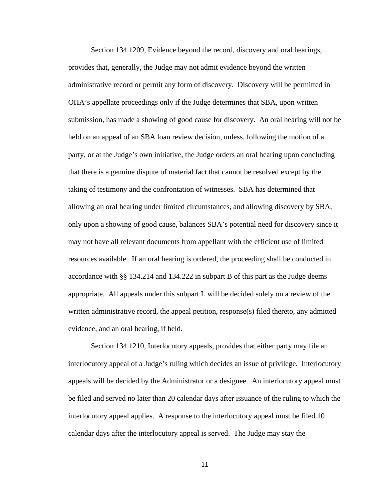Section 134.1209, Evidence beyond the record, discovery and oral hearings, provides that, generally, the Judge may not admit evidence beyond the written administrative record or permit any form of discovery. Discovery will be permitted in OHA's appellate proceedings only if the Judge determines that SBA, upon written submission, has made a showing of good cause for discovery. An oral hearing will not be held on an appeal of an SBA loan review decision, unless, following the motion of a party, or at the Judge's own initiative, the Judge orders an oral hearing upon concluding that there is a genuine dispute of material fact that cannot be resolved except by the taking of testimony and the confrontation of witnesses. SBA has determined that allowing an oral hearing under limited circumstances, and allowing discovery by SBA, only upon a showing of good cause, balances SBA's potential need for discovery since it may not have all relevant documents from appellant with the efficient use of limited resources available. If an oral hearing is ordered, the proceeding shall be conducted in accordance with §§ 134.214 and 134.222 in subpart B of this part as the Judge deems appropriate. All appeals under this subpart L will be decided solely on a review of the written administrative record, the appeal petition, response(s) filed thereto, any admitted evidence, and an oral hearing, if held.

Section 134.1210, Interlocutory appeals, provides that either party may file an interlocutory appeal of a Judge's ruling which decides an issue of privilege. Interlocutory appeals will be decided by the Administrator or a designee. An interlocutory appeal must be filed and served no later than 20 calendar days after issuance of the ruling to which the interlocutory appeal applies. A response to the interlocutory appeal must be filed 10 calendar days after the interlocutory appeal is served. The Judge may stay the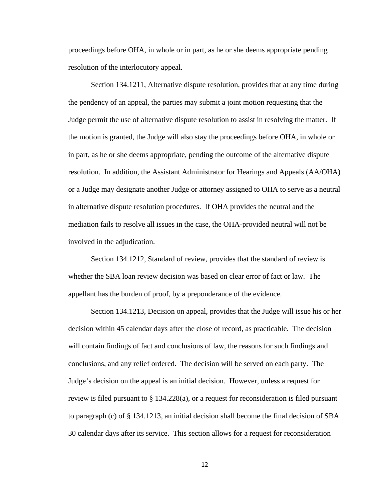proceedings before OHA, in whole or in part, as he or she deems appropriate pending resolution of the interlocutory appeal.

Section 134.1211, Alternative dispute resolution, provides that at any time during the pendency of an appeal, the parties may submit a joint motion requesting that the Judge permit the use of alternative dispute resolution to assist in resolving the matter. If the motion is granted, the Judge will also stay the proceedings before OHA, in whole or in part, as he or she deems appropriate, pending the outcome of the alternative dispute resolution. In addition, the Assistant Administrator for Hearings and Appeals (AA/OHA) or a Judge may designate another Judge or attorney assigned to OHA to serve as a neutral in alternative dispute resolution procedures. If OHA provides the neutral and the mediation fails to resolve all issues in the case, the OHA-provided neutral will not be involved in the adjudication.

Section 134.1212, Standard of review, provides that the standard of review is whether the SBA loan review decision was based on clear error of fact or law. The appellant has the burden of proof, by a preponderance of the evidence.

Section 134.1213, Decision on appeal, provides that the Judge will issue his or her decision within 45 calendar days after the close of record, as practicable. The decision will contain findings of fact and conclusions of law, the reasons for such findings and conclusions, and any relief ordered. The decision will be served on each party. The Judge's decision on the appeal is an initial decision. However, unless a request for review is filed pursuant to § 134.228(a), or a request for reconsideration is filed pursuant to paragraph (c) of § 134.1213, an initial decision shall become the final decision of SBA 30 calendar days after its service. This section allows for a request for reconsideration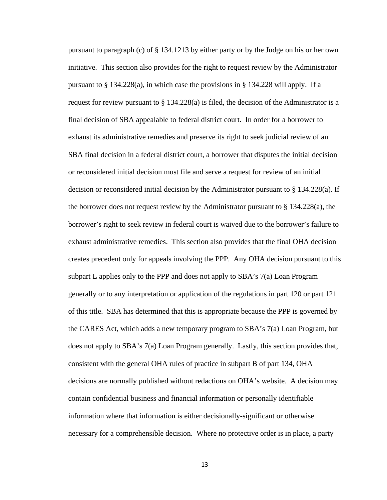pursuant to paragraph (c) of § 134.1213 by either party or by the Judge on his or her own initiative. This section also provides for the right to request review by the Administrator pursuant to  $\S 134.228(a)$ , in which case the provisions in  $\S 134.228$  will apply. If a request for review pursuant to  $\S 134.228(a)$  is filed, the decision of the Administrator is a final decision of SBA appealable to federal district court. In order for a borrower to exhaust its administrative remedies and preserve its right to seek judicial review of an SBA final decision in a federal district court, a borrower that disputes the initial decision or reconsidered initial decision must file and serve a request for review of an initial decision or reconsidered initial decision by the Administrator pursuant to § 134.228(a). If the borrower does not request review by the Administrator pursuant to  $\S 134.228(a)$ , the borrower's right to seek review in federal court is waived due to the borrower's failure to exhaust administrative remedies. This section also provides that the final OHA decision creates precedent only for appeals involving the PPP. Any OHA decision pursuant to this subpart L applies only to the PPP and does not apply to SBA's 7(a) Loan Program generally or to any interpretation or application of the regulations in part 120 or part 121 of this title. SBA has determined that this is appropriate because the PPP is governed by the CARES Act, which adds a new temporary program to SBA's 7(a) Loan Program, but does not apply to SBA's 7(a) Loan Program generally. Lastly, this section provides that, consistent with the general OHA rules of practice in subpart B of part 134, OHA decisions are normally published without redactions on OHA's website. A decision may contain confidential business and financial information or personally identifiable information where that information is either decisionally-significant or otherwise necessary for a comprehensible decision. Where no protective order is in place, a party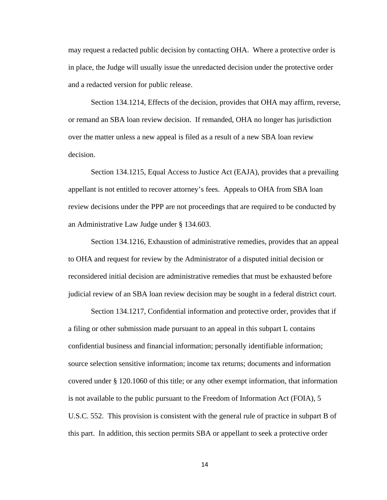may request a redacted public decision by contacting OHA. Where a protective order is in place, the Judge will usually issue the unredacted decision under the protective order and a redacted version for public release.

Section 134.1214, Effects of the decision, provides that OHA may affirm, reverse, or remand an SBA loan review decision. If remanded, OHA no longer has jurisdiction over the matter unless a new appeal is filed as a result of a new SBA loan review decision.

Section 134.1215, Equal Access to Justice Act (EAJA), provides that a prevailing appellant is not entitled to recover attorney's fees. Appeals to OHA from SBA loan review decisions under the PPP are not proceedings that are required to be conducted by an Administrative Law Judge under § 134.603.

Section 134.1216, Exhaustion of administrative remedies, provides that an appeal to OHA and request for review by the Administrator of a disputed initial decision or reconsidered initial decision are administrative remedies that must be exhausted before judicial review of an SBA loan review decision may be sought in a federal district court.

Section 134.1217, Confidential information and protective order, provides that if a filing or other submission made pursuant to an appeal in this subpart L contains confidential business and financial information; personally identifiable information; source selection sensitive information; income tax returns; documents and information covered under § 120.1060 of this title; or any other exempt information, that information is not available to the public pursuant to the Freedom of Information Act (FOIA), 5 U.S.C. 552. This provision is consistent with the general rule of practice in subpart B of this part. In addition, this section permits SBA or appellant to seek a protective order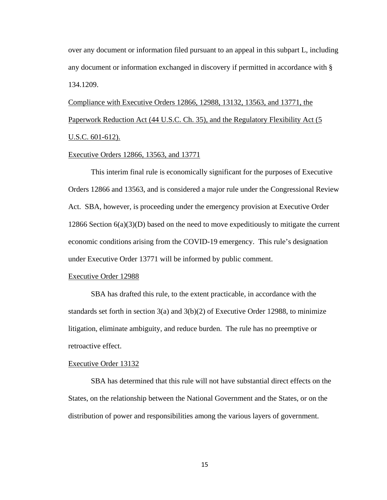over any document or information filed pursuant to an appeal in this subpart L, including any document or information exchanged in discovery if permitted in accordance with § 134.1209.

Compliance with Executive Orders 12866, 12988, 13132, 13563, and 13771, the Paperwork Reduction Act (44 U.S.C. Ch. 35), and the Regulatory Flexibility Act (5 U.S.C. 601-612).

## Executive Orders 12866, 13563, and 13771

This interim final rule is economically significant for the purposes of Executive Orders 12866 and 13563, and is considered a major rule under the Congressional Review Act. SBA, however, is proceeding under the emergency provision at Executive Order 12866 Section  $6(a)(3)(D)$  based on the need to move expeditiously to mitigate the current economic conditions arising from the COVID-19 emergency. This rule's designation under Executive Order 13771 will be informed by public comment.

#### Executive Order 12988

SBA has drafted this rule, to the extent practicable, in accordance with the standards set forth in section  $3(a)$  and  $3(b)(2)$  of Executive Order 12988, to minimize litigation, eliminate ambiguity, and reduce burden. The rule has no preemptive or retroactive effect.

#### Executive Order 13132

SBA has determined that this rule will not have substantial direct effects on the States, on the relationship between the National Government and the States, or on the distribution of power and responsibilities among the various layers of government.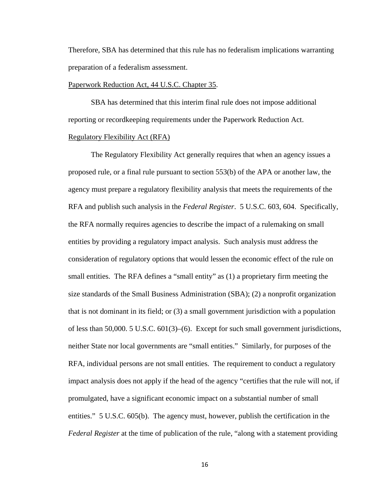Therefore, SBA has determined that this rule has no federalism implications warranting preparation of a federalism assessment.

#### Paperwork Reduction Act, 44 U.S.C. Chapter 35.

SBA has determined that this interim final rule does not impose additional reporting or recordkeeping requirements under the Paperwork Reduction Act. Regulatory Flexibility Act (RFA)

The Regulatory Flexibility Act generally requires that when an agency issues a proposed rule, or a final rule pursuant to section 553(b) of the APA or another law, the agency must prepare a regulatory flexibility analysis that meets the requirements of the RFA and publish such analysis in the *Federal Register*. 5 U.S.C. 603, 604. Specifically, the RFA normally requires agencies to describe the impact of a rulemaking on small entities by providing a regulatory impact analysis. Such analysis must address the consideration of regulatory options that would lessen the economic effect of the rule on small entities. The RFA defines a "small entity" as (1) a proprietary firm meeting the size standards of the Small Business Administration (SBA); (2) a nonprofit organization that is not dominant in its field; or (3) a small government jurisdiction with a population of less than 50,000. 5 U.S.C. 601(3)–(6). Except for such small government jurisdictions, neither State nor local governments are "small entities." Similarly, for purposes of the RFA, individual persons are not small entities. The requirement to conduct a regulatory impact analysis does not apply if the head of the agency "certifies that the rule will not, if promulgated, have a significant economic impact on a substantial number of small entities." 5 U.S.C. 605(b). The agency must, however, publish the certification in the *Federal Register* at the time of publication of the rule, "along with a statement providing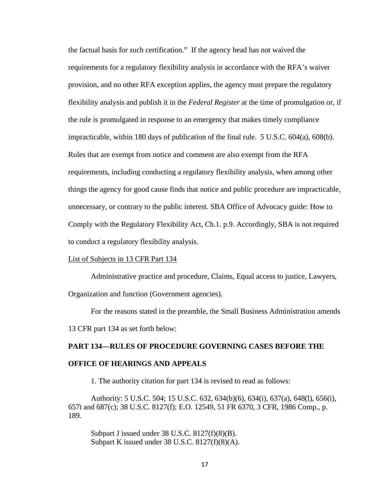the factual basis for such certification." If the agency head has not waived the requirements for a regulatory flexibility analysis in accordance with the RFA's waiver provision, and no other RFA exception applies, the agency must prepare the regulatory flexibility analysis and publish it in the *Federal Register* at the time of promulgation or, if the rule is promulgated in response to an emergency that makes timely compliance impracticable, within 180 days of publication of the final rule. 5 U.S.C. 604(a), 608(b). Rules that are exempt from notice and comment are also exempt from the RFA requirements, including conducting a regulatory flexibility analysis, when among other things the agency for good cause finds that notice and public procedure are impracticable, unnecessary, or contrary to the public interest. SBA Office of Advocacy guide: How to Comply with the Regulatory Flexibility Act, Ch.1. p.9. Accordingly, SBA is not required to conduct a regulatory flexibility analysis.

# List of Subjects in 13 CFR Part 134

Administrative practice and procedure, Claims, Equal access to justice, Lawyers, Organization and function (Government agencies).

For the reasons stated in the preamble, the Small Business Administration amends 13 CFR part 134 as set forth below:

# **PART 134—RULES OF PROCEDURE GOVERNING CASES BEFORE THE OFFICE OF HEARINGS AND APPEALS**

1. The authority citation for part 134 is revised to read as follows:

Authority: 5 U.S.C. 504; 15 U.S.C. 632, 634(b)(6), 634(i), 637(a), 648(l), 656(i), 657t and 687(c); 38 U.S.C. 8127(f); E.O. 12549, 51 FR 6370, 3 CFR, 1986 Comp., p. 189.

Subpart J issued under 38 U.S.C. 8127(f)(8)(B). Subpart K issued under 38 U.S.C. 8127(f)(8)(A).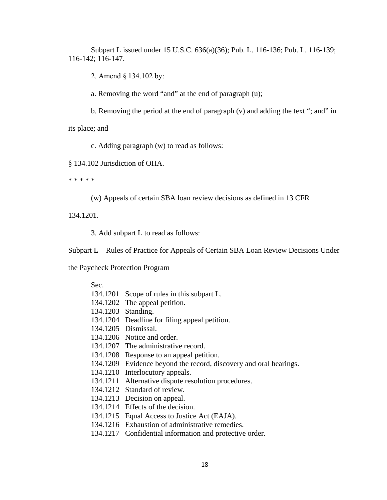Subpart L issued under 15 U.S.C. 636(a)(36); Pub. L. 116-136; Pub. L. 116-139; 116-142; 116-147.

2. Amend § 134.102 by:

a. Removing the word "and" at the end of paragraph (u);

b. Removing the period at the end of paragraph (v) and adding the text "; and" in

its place; and

c. Adding paragraph (w) to read as follows:

# § 134.102 Jurisdiction of OHA.

\* \* \* \* \*

(w) Appeals of certain SBA loan review decisions as defined in 13 CFR

134.1201.

3. Add subpart L to read as follows:

Subpart L—Rules of Practice for Appeals of Certain SBA Loan Review Decisions Under

# the Paycheck Protection Program

| Sec. |          |
|------|----------|
|      | 134.1201 |

- 134.1202 The appeal petition.
- 134.1203 Standing.
- 134.1204 Deadline for filing appeal petition.

Scope of rules in this subpart L.

- 134.1205 Dismissal.
- 134.1206 Notice and order.
- 134.1207 The administrative record.
- 134.1208 Response to an appeal petition.
- 134.1209 Evidence beyond the record, discovery and oral hearings.
- 134.1210 Interlocutory appeals.
- 134.1211 Alternative dispute resolution procedures.
- 134.1212 Standard of review.
- 134.1213 Decision on appeal.
- 134.1214 Effects of the decision.
- 134.1215 Equal Access to Justice Act (EAJA).
- 134.1216 Exhaustion of administrative remedies.
- 134.1217 Confidential information and protective order.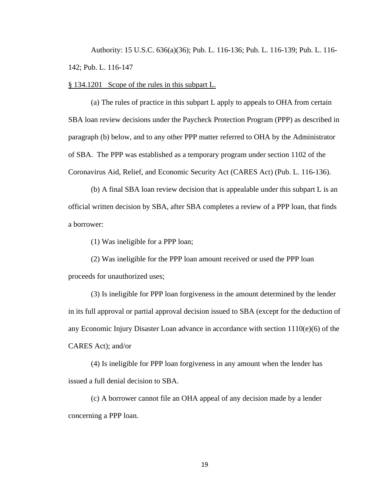Authority: 15 U.S.C. 636(a)(36); Pub. L. 116-136; Pub. L. 116-139; Pub. L. 116- 142; Pub. L. 116-147

§ 134.1201 Scope of the rules in this subpart L.

(a) The rules of practice in this subpart L apply to appeals to OHA from certain SBA loan review decisions under the Paycheck Protection Program (PPP) as described in paragraph (b) below, and to any other PPP matter referred to OHA by the Administrator of SBA. The PPP was established as a temporary program under section 1102 of the Coronavirus Aid, Relief, and Economic Security Act (CARES Act) (Pub. L. 116-136).

(b) A final SBA loan review decision that is appealable under this subpart L is an official written decision by SBA, after SBA completes a review of a PPP loan, that finds a borrower:

(1) Was ineligible for a PPP loan;

(2) Was ineligible for the PPP loan amount received or used the PPP loan proceeds for unauthorized uses;

(3) Is ineligible for PPP loan forgiveness in the amount determined by the lender in its full approval or partial approval decision issued to SBA (except for the deduction of any Economic Injury Disaster Loan advance in accordance with section 1110(e)(6) of the CARES Act); and/or

(4) Is ineligible for PPP loan forgiveness in any amount when the lender has issued a full denial decision to SBA.

(c) A borrower cannot file an OHA appeal of any decision made by a lender concerning a PPP loan.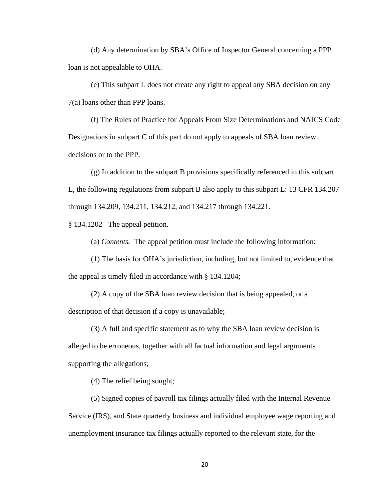(d) Any determination by SBA's Office of Inspector General concerning a PPP loan is not appealable to OHA.

(e) This subpart L does not create any right to appeal any SBA decision on any 7(a) loans other than PPP loans.

(f) The Rules of Practice for Appeals From Size Determinations and NAICS Code Designations in subpart C of this part do not apply to appeals of SBA loan review decisions or to the PPP.

(g) In addition to the subpart B provisions specifically referenced in this subpart L, the following regulations from subpart B also apply to this subpart L: 13 CFR 134.207 through 134.209, 134.211, 134.212, and 134.217 through 134.221.

# § 134.1202 The appeal petition.

(a) *Contents.* The appeal petition must include the following information:

(1) The basis for OHA's jurisdiction, including, but not limited to, evidence that the appeal is timely filed in accordance with § 134.1204;

(2) A copy of the SBA loan review decision that is being appealed, or a description of that decision if a copy is unavailable;

(3) A full and specific statement as to why the SBA loan review decision is alleged to be erroneous, together with all factual information and legal arguments supporting the allegations;

(4) The relief being sought;

(5) Signed copies of payroll tax filings actually filed with the Internal Revenue Service (IRS), and State quarterly business and individual employee wage reporting and unemployment insurance tax filings actually reported to the relevant state, for the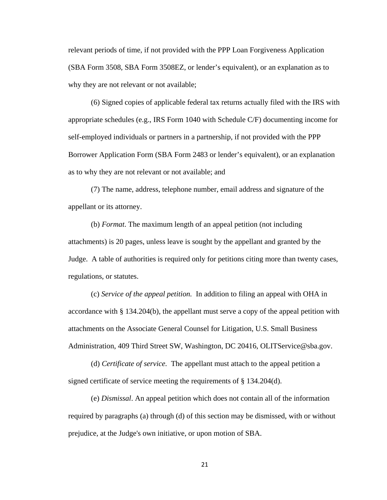relevant periods of time, if not provided with the PPP Loan Forgiveness Application (SBA Form 3508, SBA Form 3508EZ, or lender's equivalent), or an explanation as to why they are not relevant or not available;

(6) Signed copies of applicable federal tax returns actually filed with the IRS with appropriate schedules (e.g., IRS Form 1040 with Schedule C/F) documenting income for self-employed individuals or partners in a partnership, if not provided with the PPP Borrower Application Form (SBA Form 2483 or lender's equivalent), or an explanation as to why they are not relevant or not available; and

(7) The name, address, telephone number, email address and signature of the appellant or its attorney.

(b) *Format*. The maximum length of an appeal petition (not including attachments) is 20 pages, unless leave is sought by the appellant and granted by the Judge. A table of authorities is required only for petitions citing more than twenty cases, regulations, or statutes.

(c) *Service of the appeal petition.* In addition to filing an appeal with OHA in accordance with § 134.204(b), the appellant must serve a copy of the appeal petition with attachments on the Associate General Counsel for Litigation, U.S. Small Business Administration, 409 Third Street SW, Washington, DC 20416, OLITService@sba.gov.

(d) *Certificate of service.* The appellant must attach to the appeal petition a signed certificate of service meeting the requirements of § 134.204(d).

(e) *Dismissal*. An appeal petition which does not contain all of the information required by paragraphs (a) through (d) of this section may be dismissed, with or without prejudice, at the Judge's own initiative, or upon motion of SBA.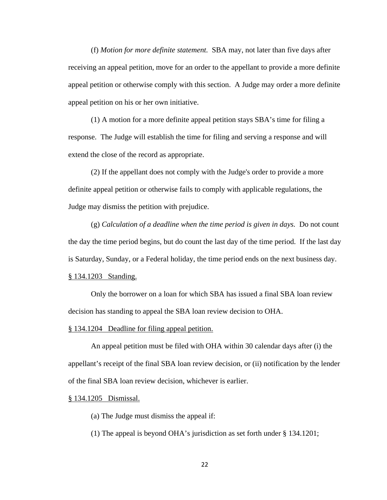(f) *Motion for more definite statement.* SBA may, not later than five days after receiving an appeal petition, move for an order to the appellant to provide a more definite appeal petition or otherwise comply with this section. A Judge may order a more definite appeal petition on his or her own initiative.

(1) A motion for a more definite appeal petition stays SBA's time for filing a response. The Judge will establish the time for filing and serving a response and will extend the close of the record as appropriate.

(2) If the appellant does not comply with the Judge's order to provide a more definite appeal petition or otherwise fails to comply with applicable regulations, the Judge may dismiss the petition with prejudice.

(g) *Calculation of a deadline when the time period is given in days.* Do not count the day the time period begins, but do count the last day of the time period. If the last day is Saturday, Sunday, or a Federal holiday, the time period ends on the next business day. § 134.1203 Standing.

Only the borrower on a loan for which SBA has issued a final SBA loan review

decision has standing to appeal the SBA loan review decision to OHA.

# § 134.1204 Deadline for filing appeal petition.

An appeal petition must be filed with OHA within 30 calendar days after (i) the appellant's receipt of the final SBA loan review decision, or (ii) notification by the lender of the final SBA loan review decision, whichever is earlier.

# § 134.1205 Dismissal.

(a) The Judge must dismiss the appeal if:

(1) The appeal is beyond OHA's jurisdiction as set forth under § 134.1201;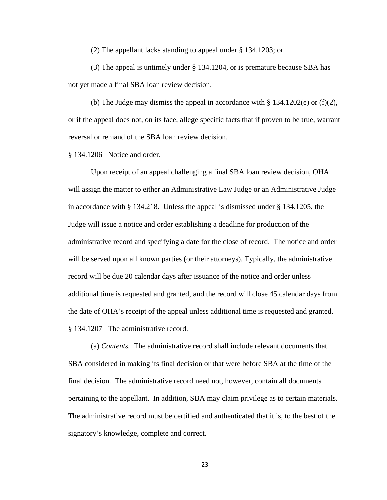(2) The appellant lacks standing to appeal under § 134.1203; or

(3) The appeal is untimely under § 134.1204, or is premature because SBA has not yet made a final SBA loan review decision.

(b) The Judge may dismiss the appeal in accordance with  $\S 134.1202(e)$  or (f)(2), or if the appeal does not, on its face, allege specific facts that if proven to be true, warrant reversal or remand of the SBA loan review decision.

#### § 134.1206 Notice and order.

Upon receipt of an appeal challenging a final SBA loan review decision, OHA will assign the matter to either an Administrative Law Judge or an Administrative Judge in accordance with § 134.218. Unless the appeal is dismissed under § 134.1205, the Judge will issue a notice and order establishing a deadline for production of the administrative record and specifying a date for the close of record. The notice and order will be served upon all known parties (or their attorneys). Typically, the administrative record will be due 20 calendar days after issuance of the notice and order unless additional time is requested and granted, and the record will close 45 calendar days from the date of OHA's receipt of the appeal unless additional time is requested and granted. § 134.1207 The administrative record.

(a) *Contents.* The administrative record shall include relevant documents that SBA considered in making its final decision or that were before SBA at the time of the final decision. The administrative record need not, however, contain all documents pertaining to the appellant. In addition, SBA may claim privilege as to certain materials. The administrative record must be certified and authenticated that it is, to the best of the signatory's knowledge, complete and correct.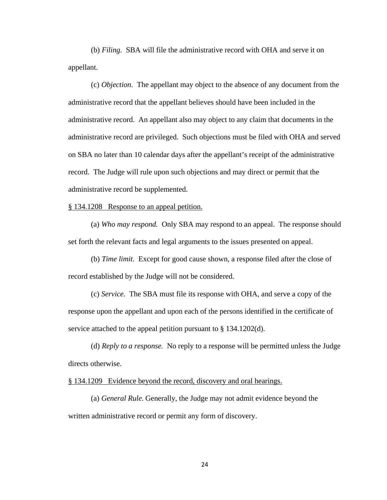(b) *Filing.* SBA will file the administrative record with OHA and serve it on appellant.

(c) *Objection.* The appellant may object to the absence of any document from the administrative record that the appellant believes should have been included in the administrative record. An appellant also may object to any claim that documents in the administrative record are privileged. Such objections must be filed with OHA and served on SBA no later than 10 calendar days after the appellant's receipt of the administrative record. The Judge will rule upon such objections and may direct or permit that the administrative record be supplemented.

# § 134.1208 Response to an appeal petition.

(a) *Who may respond.* Only SBA may respond to an appeal. The response should set forth the relevant facts and legal arguments to the issues presented on appeal.

(b) *Time limit.* Except for good cause shown, a response filed after the close of record established by the Judge will not be considered.

(c) *Service.* The SBA must file its response with OHA, and serve a copy of the response upon the appellant and upon each of the persons identified in the certificate of service attached to the appeal petition pursuant to § 134.1202(d).

(d) *Reply to a response.* No reply to a response will be permitted unless the Judge directs otherwise.

§ 134.1209 Evidence beyond the record, discovery and oral hearings.

(a) *General Rule.* Generally, the Judge may not admit evidence beyond the written administrative record or permit any form of discovery.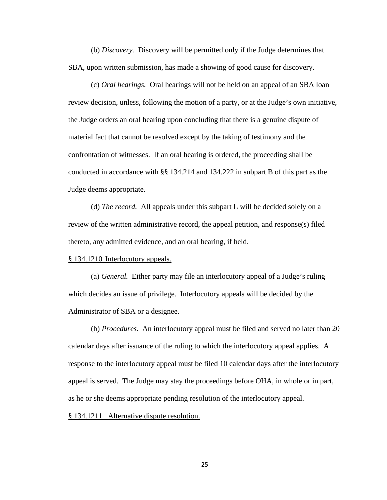(b) *Discovery.* Discovery will be permitted only if the Judge determines that SBA, upon written submission, has made a showing of good cause for discovery.

(c) *Oral hearings.* Oral hearings will not be held on an appeal of an SBA loan review decision, unless, following the motion of a party, or at the Judge's own initiative, the Judge orders an oral hearing upon concluding that there is a genuine dispute of material fact that cannot be resolved except by the taking of testimony and the confrontation of witnesses. If an oral hearing is ordered, the proceeding shall be conducted in accordance with §§ 134.214 and 134.222 in subpart B of this part as the Judge deems appropriate.

(d) *The record.* All appeals under this subpart L will be decided solely on a review of the written administrative record, the appeal petition, and response(s) filed thereto, any admitted evidence, and an oral hearing, if held.

# § 134.1210 Interlocutory appeals.

(a) *General.* Either party may file an interlocutory appeal of a Judge's ruling which decides an issue of privilege. Interlocutory appeals will be decided by the Administrator of SBA or a designee.

(b) *Procedures.* An interlocutory appeal must be filed and served no later than 20 calendar days after issuance of the ruling to which the interlocutory appeal applies. A response to the interlocutory appeal must be filed 10 calendar days after the interlocutory appeal is served. The Judge may stay the proceedings before OHA, in whole or in part, as he or she deems appropriate pending resolution of the interlocutory appeal.

# § 134.1211 Alternative dispute resolution.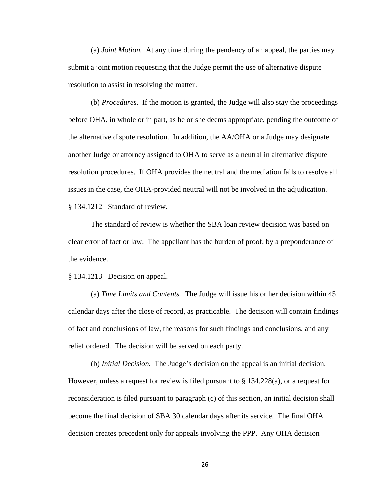(a) *Joint Motion.* At any time during the pendency of an appeal, the parties may submit a joint motion requesting that the Judge permit the use of alternative dispute resolution to assist in resolving the matter.

(b) *Procedures.* If the motion is granted, the Judge will also stay the proceedings before OHA, in whole or in part, as he or she deems appropriate, pending the outcome of the alternative dispute resolution. In addition, the AA/OHA or a Judge may designate another Judge or attorney assigned to OHA to serve as a neutral in alternative dispute resolution procedures. If OHA provides the neutral and the mediation fails to resolve all issues in the case, the OHA-provided neutral will not be involved in the adjudication.

## § 134.1212 Standard of review.

The standard of review is whether the SBA loan review decision was based on clear error of fact or law. The appellant has the burden of proof, by a preponderance of the evidence.

### § 134.1213 Decision on appeal.

(a) *Time Limits and Contents.* The Judge will issue his or her decision within 45 calendar days after the close of record, as practicable. The decision will contain findings of fact and conclusions of law, the reasons for such findings and conclusions, and any relief ordered. The decision will be served on each party.

(b) *Initial Decision.* The Judge's decision on the appeal is an initial decision. However, unless a request for review is filed pursuant to § 134.228(a), or a request for reconsideration is filed pursuant to paragraph (c) of this section, an initial decision shall become the final decision of SBA 30 calendar days after its service. The final OHA decision creates precedent only for appeals involving the PPP. Any OHA decision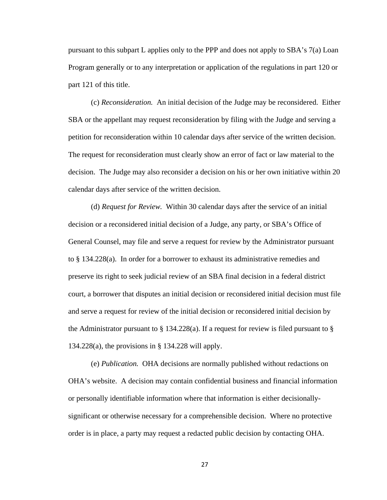pursuant to this subpart L applies only to the PPP and does not apply to SBA's 7(a) Loan Program generally or to any interpretation or application of the regulations in part 120 or part 121 of this title.

(c) *Reconsideration.* An initial decision of the Judge may be reconsidered. Either SBA or the appellant may request reconsideration by filing with the Judge and serving a petition for reconsideration within 10 calendar days after service of the written decision. The request for reconsideration must clearly show an error of fact or law material to the decision. The Judge may also reconsider a decision on his or her own initiative within 20 calendar days after service of the written decision.

(d) *Request for Review.* Within 30 calendar days after the service of an initial decision or a reconsidered initial decision of a Judge, any party, or SBA's Office of General Counsel, may file and serve a request for review by the Administrator pursuant to § 134.228(a). In order for a borrower to exhaust its administrative remedies and preserve its right to seek judicial review of an SBA final decision in a federal district court, a borrower that disputes an initial decision or reconsidered initial decision must file and serve a request for review of the initial decision or reconsidered initial decision by the Administrator pursuant to  $\S 134.228(a)$ . If a request for review is filed pursuant to  $\S$  $134.228(a)$ , the provisions in § 134.228 will apply.

(e) *Publication.* OHA decisions are normally published without redactions on OHA's website. A decision may contain confidential business and financial information or personally identifiable information where that information is either decisionallysignificant or otherwise necessary for a comprehensible decision. Where no protective order is in place, a party may request a redacted public decision by contacting OHA.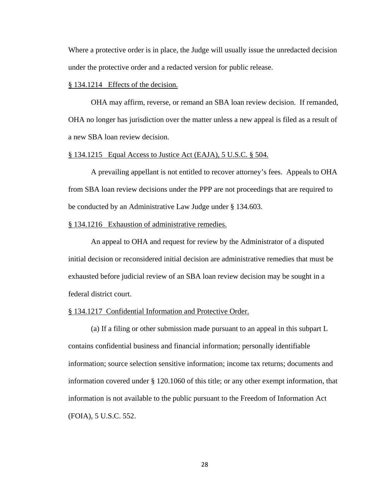Where a protective order is in place, the Judge will usually issue the unredacted decision under the protective order and a redacted version for public release.

### § 134.1214 Effects of the decision.

OHA may affirm, reverse, or remand an SBA loan review decision. If remanded, OHA no longer has jurisdiction over the matter unless a new appeal is filed as a result of a new SBA loan review decision.

### § 134.1215 Equal Access to Justice Act (EAJA), 5 U.S.C. § 504.

A prevailing appellant is not entitled to recover attorney's fees. Appeals to OHA from SBA loan review decisions under the PPP are not proceedings that are required to be conducted by an Administrative Law Judge under § 134.603.

# § 134.1216 Exhaustion of administrative remedies.

An appeal to OHA and request for review by the Administrator of a disputed initial decision or reconsidered initial decision are administrative remedies that must be exhausted before judicial review of an SBA loan review decision may be sought in a federal district court.

# § 134.1217 Confidential Information and Protective Order.

(a) If a filing or other submission made pursuant to an appeal in this subpart L contains confidential business and financial information; personally identifiable information; source selection sensitive information; income tax returns; documents and information covered under § 120.1060 of this title; or any other exempt information, that information is not available to the public pursuant to the Freedom of Information Act (FOIA), 5 U.S.C. 552.